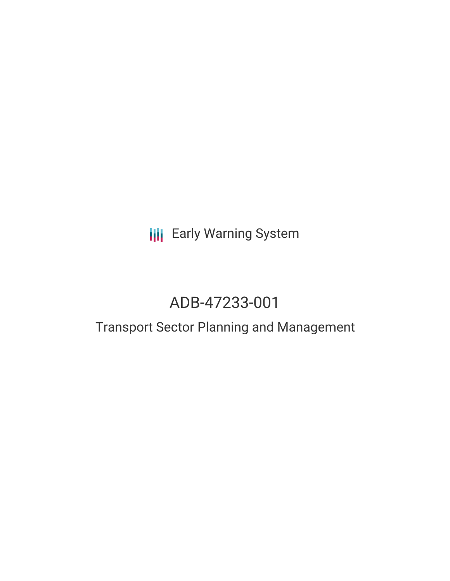### **III** Early Warning System

## ADB-47233-001

### Transport Sector Planning and Management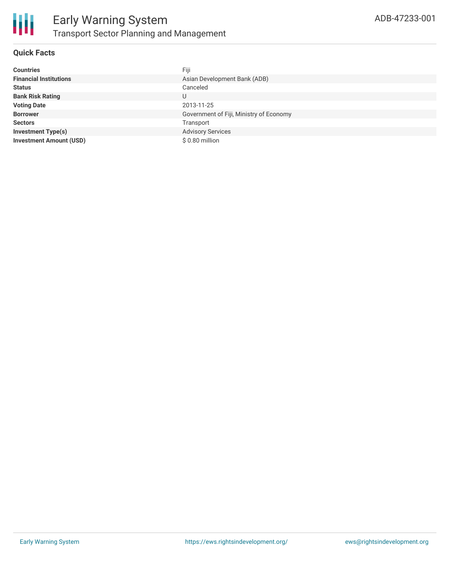

#### **Quick Facts**

| <b>Countries</b>               | Fiji                                    |
|--------------------------------|-----------------------------------------|
| <b>Financial Institutions</b>  | Asian Development Bank (ADB)            |
| <b>Status</b>                  | Canceled                                |
| <b>Bank Risk Rating</b>        | U                                       |
| <b>Voting Date</b>             | 2013-11-25                              |
| <b>Borrower</b>                | Government of Fiji, Ministry of Economy |
| <b>Sectors</b>                 | Transport                               |
| <b>Investment Type(s)</b>      | <b>Advisory Services</b>                |
| <b>Investment Amount (USD)</b> | \$0.80 million                          |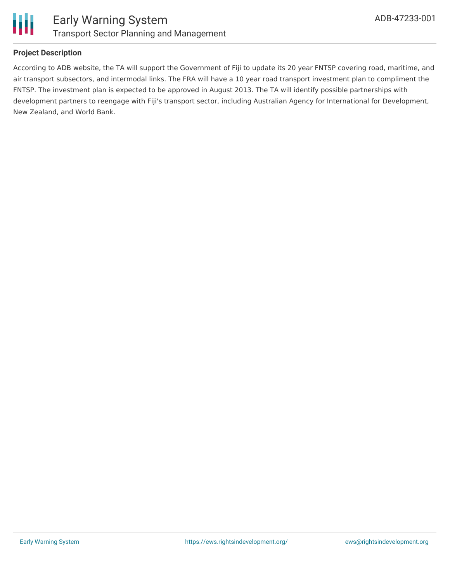

#### **Project Description**

According to ADB website, the TA will support the Government of Fiji to update its 20 year FNTSP covering road, maritime, and air transport subsectors, and intermodal links. The FRA will have a 10 year road transport investment plan to compliment the FNTSP. The investment plan is expected to be approved in August 2013. The TA will identify possible partnerships with development partners to reengage with Fiji's transport sector, including Australian Agency for International for Development, New Zealand, and World Bank.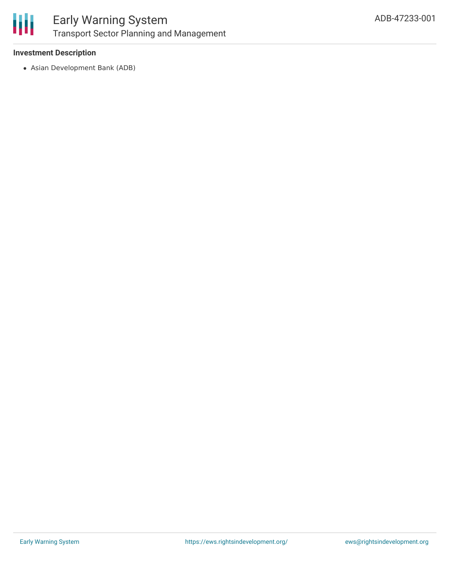

### Early Warning System Transport Sector Planning and Management

#### **Investment Description**

Asian Development Bank (ADB)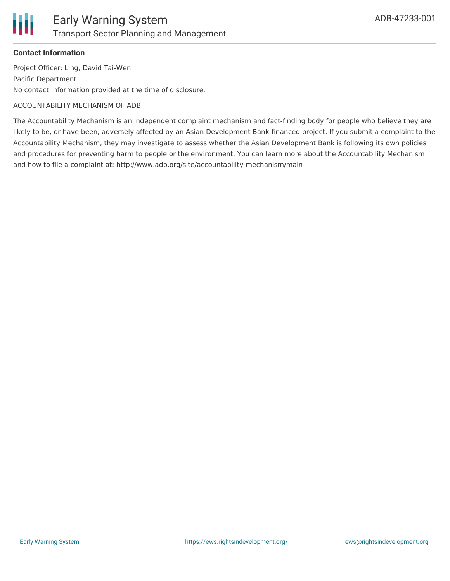

#### **Contact Information**

Project Officer: Ling, David Tai-Wen Pacific Department No contact information provided at the time of disclosure.

#### ACCOUNTABILITY MECHANISM OF ADB

The Accountability Mechanism is an independent complaint mechanism and fact-finding body for people who believe they are likely to be, or have been, adversely affected by an Asian Development Bank-financed project. If you submit a complaint to the Accountability Mechanism, they may investigate to assess whether the Asian Development Bank is following its own policies and procedures for preventing harm to people or the environment. You can learn more about the Accountability Mechanism and how to file a complaint at: http://www.adb.org/site/accountability-mechanism/main